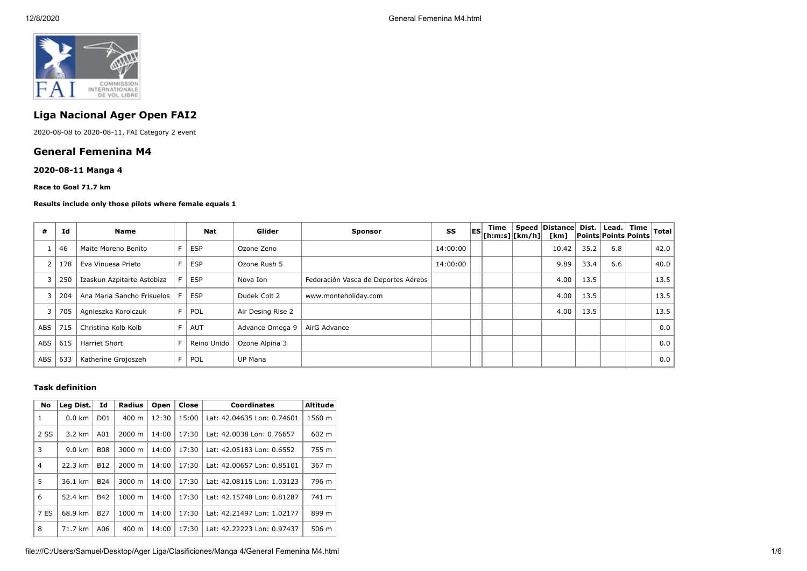

# **Liga Nacional Ager Open FAI2**

2020-08-08 to 2020-08-11, FAI Category 2 event

## **General Femenina M4**

## **2020-08-11 Manga 4**

**Race to Goal 71.7 km**

#### **Results include only those pilots where female equals 1**

| #   | Id  | <b>Name</b>                | Nat         | Glider            | <b>Sponsor</b>                      | SS       | <b>ES</b> | Time<br>$\left \left[\mathsf{h}:\mathsf{m}:\mathsf{s}\right]\right \left[\mathsf{km}/\mathsf{h}\right]\right $ | Speed Distance<br>[km] | Dist. I | Lead.  <br><b>Points Points Points</b> | Time | Total |
|-----|-----|----------------------------|-------------|-------------------|-------------------------------------|----------|-----------|----------------------------------------------------------------------------------------------------------------|------------------------|---------|----------------------------------------|------|-------|
|     | 46  | Maite Moreno Benito        | <b>ESP</b>  | Ozone Zeno        |                                     | 14:00:00 |           |                                                                                                                | 10.42                  | 35.2    | 6.8                                    |      | 42.0  |
|     | 178 | Eva Vinuesa Prieto         | <b>ESP</b>  | Ozone Rush 5      |                                     | 14:00:00 |           |                                                                                                                | 9.89                   | 33.4    | 6.6                                    |      | 40.0  |
|     | 250 | Izaskun Azpitarte Astobiza | <b>ESP</b>  | Nova Ion          | Federación Vasca de Deportes Aéreos |          |           |                                                                                                                | 4.00                   | 13.5    |                                        |      | 13.5  |
|     | 204 | Ana Maria Sancho Frisuelos | <b>ESP</b>  | Dudek Colt 2      | www.monteholiday.com                |          |           |                                                                                                                | 4.00                   | 13.5    |                                        |      | 13.5  |
|     | 705 | Agnieszka Korolczuk        | <b>POL</b>  | Air Desing Rise 2 |                                     |          |           |                                                                                                                | 4.00                   | 13.5    |                                        |      | 13.5  |
| ABS | 715 | Christina Kolb Kolb        | <b>AUT</b>  | Advance Omega 9   | AirG Advance                        |          |           |                                                                                                                |                        |         |                                        |      | 0.0   |
| ABS | 615 | <b>Harriet Short</b>       | Reino Unido | Ozone Alpina 3    |                                     |          |           |                                                                                                                |                        |         |                                        |      | 0.0   |
| ABS | 633 | Katherine Grojoszeh        | <b>POL</b>  | <b>UP Mana</b>    |                                     |          |           |                                                                                                                |                        |         |                                        |      | 0.0   |

#### **Task definition**

| <b>No</b>      | Leg Dist.               | Id              | <b>Radius</b>      | Open  | Close | <b>Coordinates</b>         | <b>Altitude</b> |
|----------------|-------------------------|-----------------|--------------------|-------|-------|----------------------------|-----------------|
| 1              | $0.0 \text{ km}$        | D <sub>01</sub> | $400 \text{ m}$    | 12:30 | 15:00 | Lat: 42.04635 Lon: 0.74601 | 1560 m          |
| 2 SS           | $3.2 \text{ km}$<br>A01 |                 | $2000 \; m$        | 14:00 | 17:30 | Lat: 42.0038 Lon: 0.76657  | 602 m           |
| 3              | $9.0 \text{ km}$        | <b>B08</b>      | $3000 \; \text{m}$ | 14:00 | 17:30 | Lat: 42.05183 Lon: 0.6552  | 755 m           |
| $\overline{4}$ | 22.3 km<br><b>B12</b>   |                 | $2000 \; \text{m}$ | 14:00 | 17:30 | Lat: 42.00657 Lon: 0.85101 | 367 m           |
| 5              | <b>B24</b><br>36.1 km   |                 | 3000 m             | 14:00 | 17:30 | Lat: 42.08115 Lon: 1.03123 | 796 m           |
| 6              | 52.4 km                 | <b>B42</b>      | $1000 \;{\rm m}$   | 14:00 | 17:30 | Lat: 42.15748 Lon: 0.81287 | 741 m           |
| 7 ES           | 68.9 km                 | <b>B27</b>      | 1000 m             | 14:00 | 17:30 | Lat: 42.21497 Lon: 1.02177 | 899 m           |
| 8              | 71.7 km                 | A06             | $400 \text{ m}$    | 14:00 | 17:30 | Lat: 42.22223 Lon: 0.97437 | 506 m           |

file:///C:/Users/Samuel/Desktop/Ager Liga/Clasificiones/Manga 4/General Femenina M4.html 1/6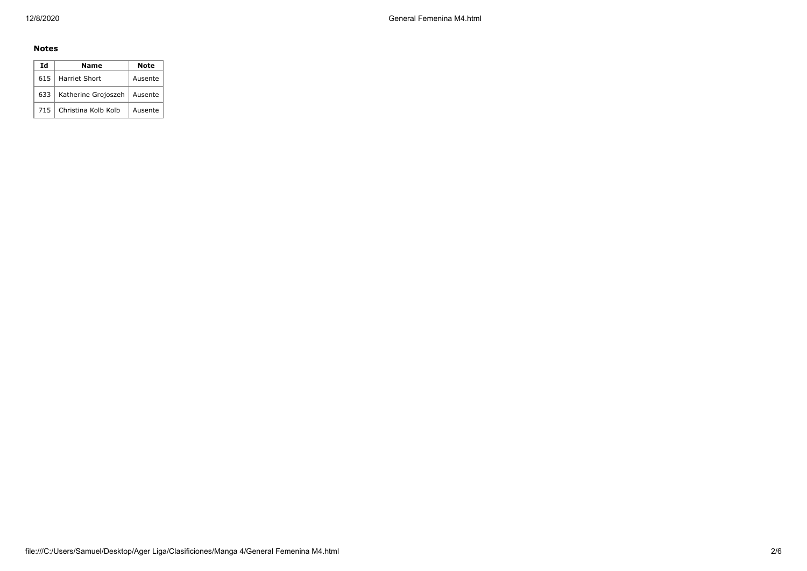## **Notes**

| Ιd    | Name                          | <b>Note</b> |
|-------|-------------------------------|-------------|
| 615 l | Harriet Short                 | Ausente     |
| 633   | Katherine Grojoszeh   Ausente |             |
| 715   | Christina Kolb Kolb           | Ausente     |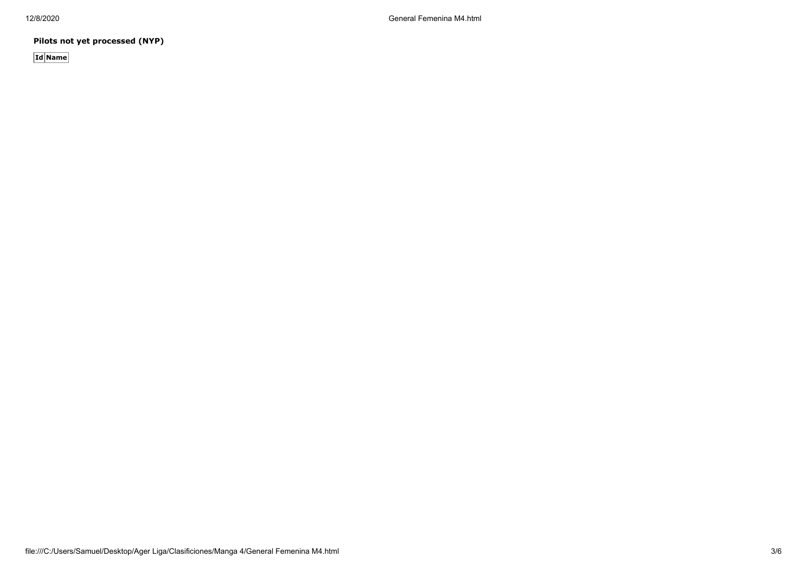**Pilots not yet processed (NYP)**

**Id Name**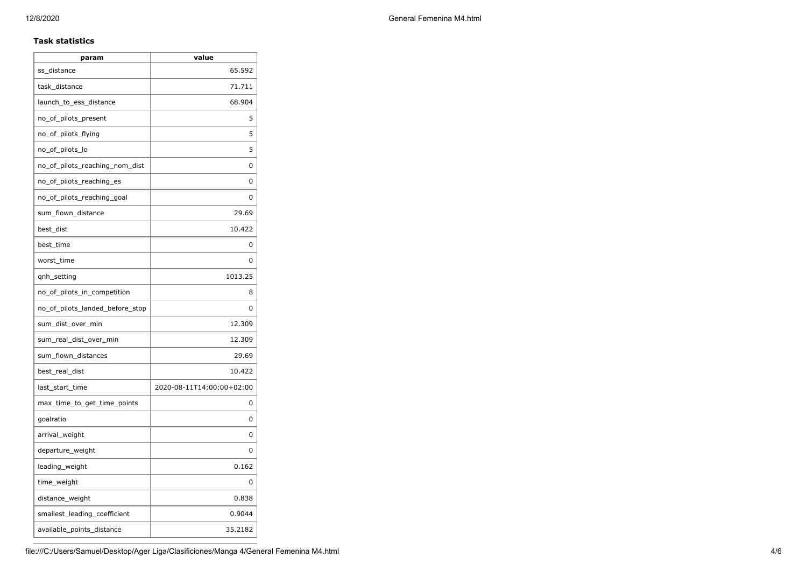### **Task statistics**

| param                           | value                     |
|---------------------------------|---------------------------|
| ss distance                     | 65.592                    |
| task_distance                   | 71.711                    |
| launch_to_ess_distance          | 68.904                    |
| no_of_pilots_present            | 5                         |
| no_of_pilots_flying             | 5                         |
| no_of_pilots_lo                 | 5                         |
| no of pilots reaching nom dist  | 0                         |
| no of pilots reaching es        | 0                         |
| no_of_pilots_reaching_goal      | 0                         |
| sum_flown_distance              | 29.69                     |
| best_dist                       | 10.422                    |
| best time                       | 0                         |
| worst_time                      | 0                         |
| qnh_setting                     | 1013.25                   |
| no_of_pilots_in_competition     | 8                         |
| no_of_pilots_landed_before_stop | 0                         |
| sum_dist_over_min               | 12.309                    |
| sum_real_dist_over_min          | 12.309                    |
| sum_flown_distances             | 29.69                     |
| best_real_dist                  | 10.422                    |
| last_start_time                 | 2020-08-11T14:00:00+02:00 |
| max_time_to_get_time_points     | 0                         |
| goalratio                       | 0                         |
| arrival_weight                  | 0                         |
| departure_weight                | 0                         |
| leading_weight                  | 0.162                     |
| time_weight                     | 0                         |
| distance_weight                 | 0.838                     |
| smallest_leading_coefficient    | 0.9044                    |
| available_points_distance       | 35.2182                   |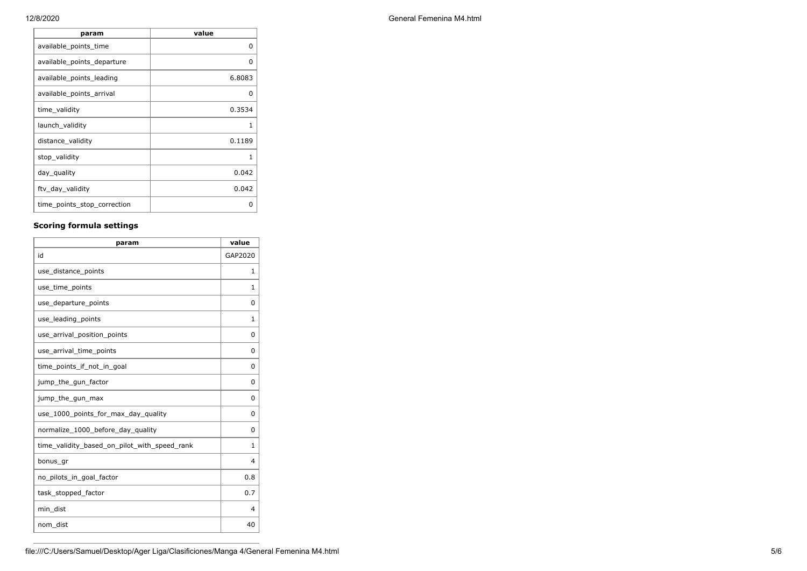| General Femenina M4.html |
|--------------------------|
|                          |

| param                       | value        |
|-----------------------------|--------------|
| available_points_time       | <sup>0</sup> |
| available_points_departure  | O            |
| available_points_leading    | 6.8083       |
| available_points_arrival    | 0            |
| time validity               | 0.3534       |
| launch_validity             | 1            |
| distance_validity           | 0.1189       |
| stop_validity               | 1            |
| day_quality                 | 0.042        |
| ftv_day_validity            | 0.042        |
| time_points_stop_correction | ი            |

## **Scoring formula settings**

| param                                        | value    |
|----------------------------------------------|----------|
| id                                           | GAP2020  |
| use_distance_points                          | 1        |
| use_time_points                              | 1        |
| use_departure_points                         | $\Omega$ |
| use_leading_points                           | 1        |
| use_arrival_position_points                  | $\Omega$ |
| use_arrival_time_points                      | 0        |
| time points if not in goal                   | 0        |
| jump_the_gun_factor                          | 0        |
| jump_the_gun_max                             | $\Omega$ |
| use_1000_points_for_max_day_quality          | $\Omega$ |
| normalize_1000_before_day_quality            | $\Omega$ |
| time_validity_based_on_pilot_with_speed_rank | 1        |
| bonus_gr                                     | 4        |
| no pilots in goal factor                     | 0.8      |
| task_stopped_factor                          | 0.7      |
| min_dist                                     | 4        |
| nom dist                                     | 40       |